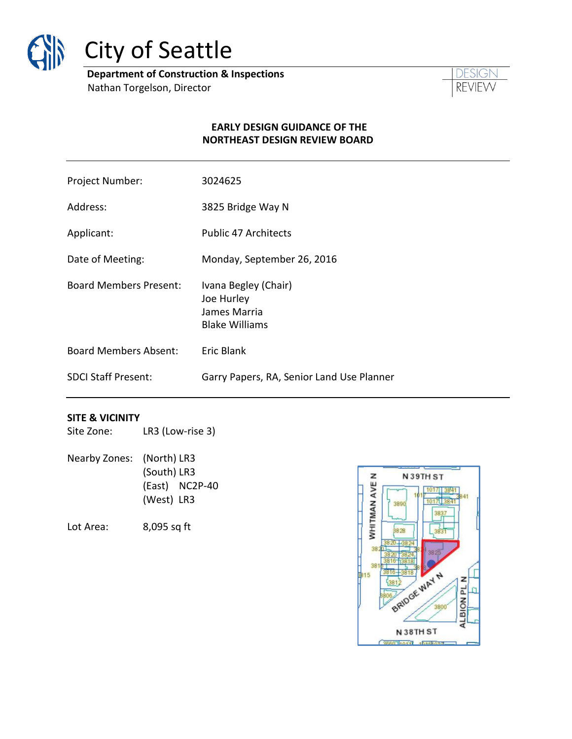

# City of Seattle

**Department of Construction & Inspections** Nathan Torgelson, Director



#### **EARLY DESIGN GUIDANCE OF THE NORTHEAST DESIGN REVIEW BOARD**

| Project Number:               | 3024625                                                                     |
|-------------------------------|-----------------------------------------------------------------------------|
| Address:                      | 3825 Bridge Way N                                                           |
| Applicant:                    | <b>Public 47 Architects</b>                                                 |
| Date of Meeting:              | Monday, September 26, 2016                                                  |
| <b>Board Members Present:</b> | Ivana Begley (Chair)<br>Joe Hurley<br>James Marria<br><b>Blake Williams</b> |
| <b>Board Members Absent:</b>  | Eric Blank                                                                  |
| <b>SDCI Staff Present:</b>    | Garry Papers, RA, Senior Land Use Planner                                   |

#### **SITE & VICINITY**

| Site Zone: | LR3 (Low-rise 3) |
|------------|------------------|
|------------|------------------|

Nearby Zones: (North) LR3 (South) LR3 (East) NC2P-40 (West) LR3

Lot Area: 8,095 sq ft

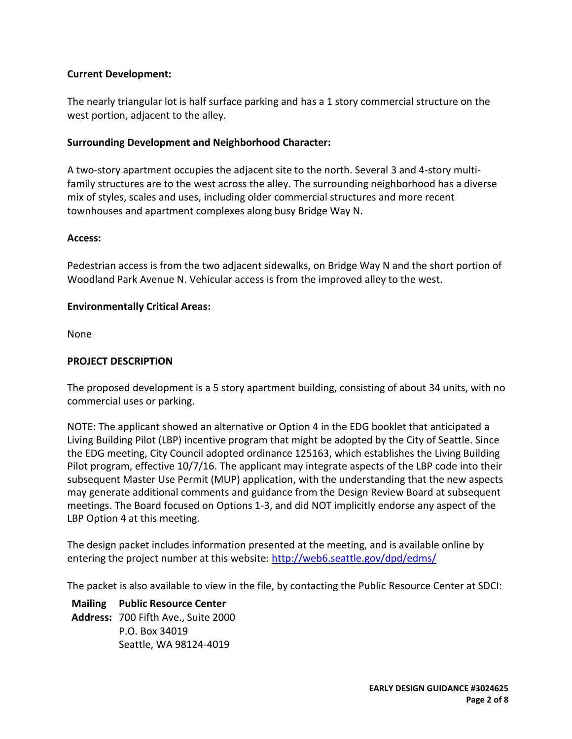# **Current Development:**

The nearly triangular lot is half surface parking and has a 1 story commercial structure on the west portion, adjacent to the alley.

#### **Surrounding Development and Neighborhood Character:**

A two-story apartment occupies the adjacent site to the north. Several 3 and 4-story multifamily structures are to the west across the alley. The surrounding neighborhood has a diverse mix of styles, scales and uses, including older commercial structures and more recent townhouses and apartment complexes along busy Bridge Way N.

#### **Access:**

Pedestrian access is from the two adjacent sidewalks, on Bridge Way N and the short portion of Woodland Park Avenue N. Vehicular access is from the improved alley to the west.

#### **Environmentally Critical Areas:**

None

# **PROJECT DESCRIPTION**

The proposed development is a 5 story apartment building, consisting of about 34 units, with no commercial uses or parking.

NOTE: The applicant showed an alternative or Option 4 in the EDG booklet that anticipated a Living Building Pilot (LBP) incentive program that might be adopted by the City of Seattle. Since the EDG meeting, City Council adopted ordinance 125163, which establishes the Living Building Pilot program, effective 10/7/16. The applicant may integrate aspects of the LBP code into their subsequent Master Use Permit (MUP) application, with the understanding that the new aspects may generate additional comments and guidance from the Design Review Board at subsequent meetings. The Board focused on Options 1-3, and did NOT implicitly endorse any aspect of the LBP Option 4 at this meeting.

The design packet includes information presented at the meeting, and is available online by entering the project number at this website: <http://web6.seattle.gov/dpd/edms/>

The packet is also available to view in the file, by contacting the Public Resource Center at SDCI:

**Mailing Public Resource Center Address:** 700 Fifth Ave., Suite 2000 P.O. Box 34019 Seattle, WA 98124-4019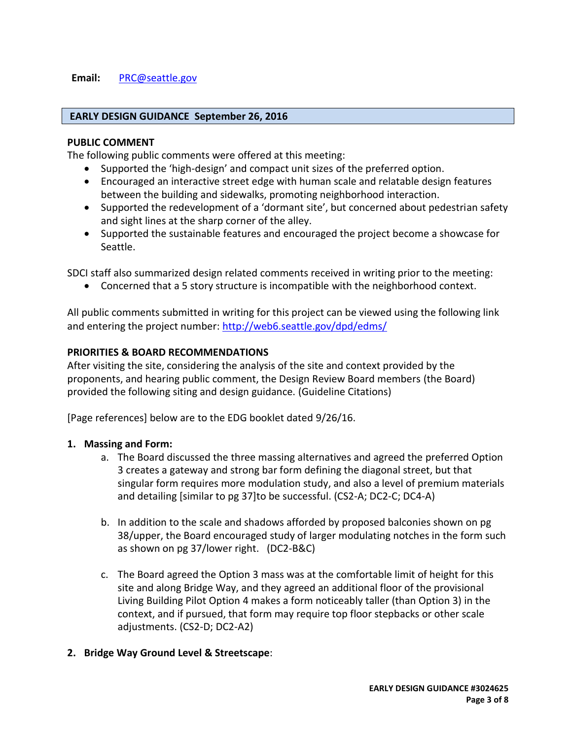#### **Email:** [PRC@seattle.gov](mailto:PRC@seattle.gov)

#### **EARLY DESIGN GUIDANCE September 26, 2016**

#### **PUBLIC COMMENT**

The following public comments were offered at this meeting:

- Supported the 'high-design' and compact unit sizes of the preferred option.
- Encouraged an interactive street edge with human scale and relatable design features between the building and sidewalks, promoting neighborhood interaction.
- Supported the redevelopment of a 'dormant site', but concerned about pedestrian safety and sight lines at the sharp corner of the alley.
- Supported the sustainable features and encouraged the project become a showcase for Seattle.

SDCI staff also summarized design related comments received in writing prior to the meeting:

Concerned that a 5 story structure is incompatible with the neighborhood context.

All public comments submitted in writing for this project can be viewed using the following link and entering the project number:<http://web6.seattle.gov/dpd/edms/>

#### **PRIORITIES & BOARD RECOMMENDATIONS**

After visiting the site, considering the analysis of the site and context provided by the proponents, and hearing public comment, the Design Review Board members (the Board) provided the following siting and design guidance. (Guideline Citations)

[Page references] below are to the EDG booklet dated 9/26/16.

#### **1. Massing and Form:**

- a. The Board discussed the three massing alternatives and agreed the preferred Option 3 creates a gateway and strong bar form defining the diagonal street, but that singular form requires more modulation study, and also a level of premium materials and detailing [similar to pg 37]to be successful. (CS2-A; DC2-C; DC4-A)
- b. In addition to the scale and shadows afforded by proposed balconies shown on pg 38/upper, the Board encouraged study of larger modulating notches in the form such as shown on pg 37/lower right. (DC2-B&C)
- c. The Board agreed the Option 3 mass was at the comfortable limit of height for this site and along Bridge Way, and they agreed an additional floor of the provisional Living Building Pilot Option 4 makes a form noticeably taller (than Option 3) in the context, and if pursued, that form may require top floor stepbacks or other scale adjustments. (CS2-D; DC2-A2)

#### **2. Bridge Way Ground Level & Streetscape**: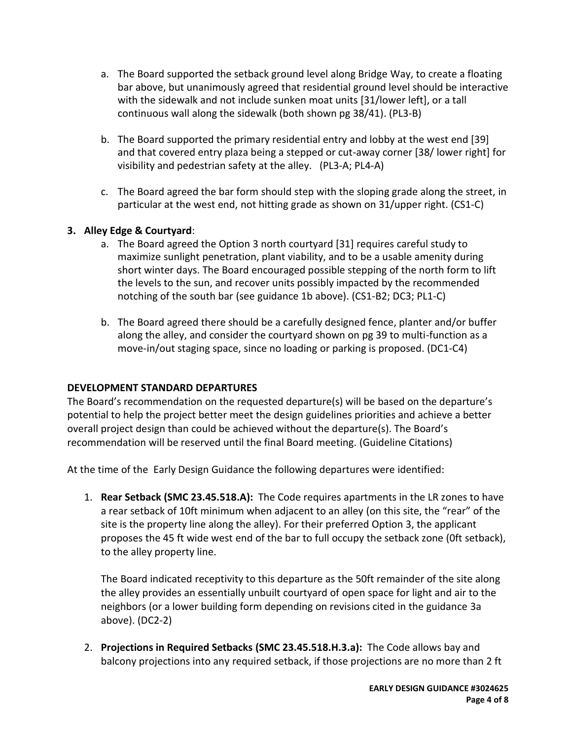- a. The Board supported the setback ground level along Bridge Way, to create a floating bar above, but unanimously agreed that residential ground level should be interactive with the sidewalk and not include sunken moat units [31/lower left], or a tall continuous wall along the sidewalk (both shown pg 38/41). (PL3-B)
- b. The Board supported the primary residential entry and lobby at the west end [39] and that covered entry plaza being a stepped or cut-away corner [38/ lower right] for visibility and pedestrian safety at the alley. (PL3-A; PL4-A)
- c. The Board agreed the bar form should step with the sloping grade along the street, in particular at the west end, not hitting grade as shown on 31/upper right. (CS1-C)

# **3. Alley Edge & Courtyard**:

- a. The Board agreed the Option 3 north courtyard [31] requires careful study to maximize sunlight penetration, plant viability, and to be a usable amenity during short winter days. The Board encouraged possible stepping of the north form to lift the levels to the sun, and recover units possibly impacted by the recommended notching of the south bar (see guidance 1b above). (CS1-B2; DC3; PL1-C)
- b. The Board agreed there should be a carefully designed fence, planter and/or buffer along the alley, and consider the courtyard shown on pg 39 to multi-function as a move-in/out staging space, since no loading or parking is proposed. (DC1-C4)

# **DEVELOPMENT STANDARD DEPARTURES**

The Board's recommendation on the requested departure(s) will be based on the departure's potential to help the project better meet the design guidelines priorities and achieve a better overall project design than could be achieved without the departure(s). The Board's recommendation will be reserved until the final Board meeting. (Guideline Citations)

At the time of the Early Design Guidance the following departures were identified:

1. **Rear Setback (SMC 23.45.518.A):** The Code requires apartments in the LR zones to have a rear setback of 10ft minimum when adjacent to an alley (on this site, the "rear" of the site is the property line along the alley). For their preferred Option 3, the applicant proposes the 45 ft wide west end of the bar to full occupy the setback zone (0ft setback), to the alley property line.

The Board indicated receptivity to this departure as the 50ft remainder of the site along the alley provides an essentially unbuilt courtyard of open space for light and air to the neighbors (or a lower building form depending on revisions cited in the guidance 3a above). (DC2-2)

2. **Projections in Required Setbacks (SMC 23.45.518.H.3.a):** The Code allows bay and balcony projections into any required setback, if those projections are no more than 2 ft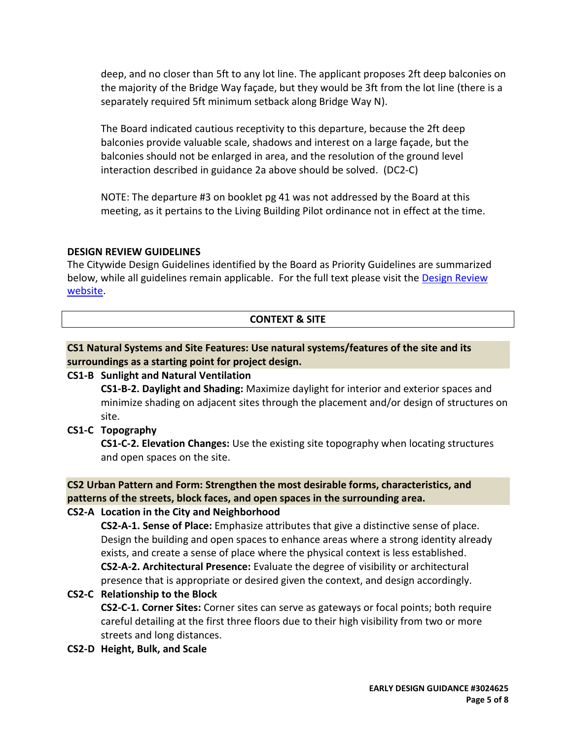deep, and no closer than 5ft to any lot line. The applicant proposes 2ft deep balconies on the majority of the Bridge Way façade, but they would be 3ft from the lot line (there is a separately required 5ft minimum setback along Bridge Way N).

The Board indicated cautious receptivity to this departure, because the 2ft deep balconies provide valuable scale, shadows and interest on a large façade, but the balconies should not be enlarged in area, and the resolution of the ground level interaction described in guidance 2a above should be solved. (DC2-C)

NOTE: The departure #3 on booklet pg 41 was not addressed by the Board at this meeting, as it pertains to the Living Building Pilot ordinance not in effect at the time.

# **DESIGN REVIEW GUIDELINES**

The Citywide Design Guidelines identified by the Board as Priority Guidelines are summarized below, while all guidelines remain applicable. For the full text please visit the [Design Review](https://www.seattle.gov/dpd/aboutus/whoweare/designreview/designguidelines/default.htm)  [website.](https://www.seattle.gov/dpd/aboutus/whoweare/designreview/designguidelines/default.htm)

# **CONTEXT & SITE**

# **CS1 Natural Systems and Site Features: Use natural systems/features of the site and its surroundings as a starting point for project design.**

# **CS1-B Sunlight and Natural Ventilation**

**CS1-B-2. Daylight and Shading:** Maximize daylight for interior and exterior spaces and minimize shading on adjacent sites through the placement and/or design of structures on site.

# **CS1-C Topography**

**CS1-C-2. Elevation Changes:** Use the existing site topography when locating structures and open spaces on the site.

# **CS2 Urban Pattern and Form: Strengthen the most desirable forms, characteristics, and patterns of the streets, block faces, and open spaces in the surrounding area.**

# **CS2-A Location in the City and Neighborhood**

**CS2-A-1. Sense of Place:** Emphasize attributes that give a distinctive sense of place. Design the building and open spaces to enhance areas where a strong identity already exists, and create a sense of place where the physical context is less established. **CS2-A-2. Architectural Presence:** Evaluate the degree of visibility or architectural presence that is appropriate or desired given the context, and design accordingly.

# **CS2-C Relationship to the Block**

**CS2-C-1. Corner Sites:** Corner sites can serve as gateways or focal points; both require careful detailing at the first three floors due to their high visibility from two or more streets and long distances.

**CS2-D Height, Bulk, and Scale**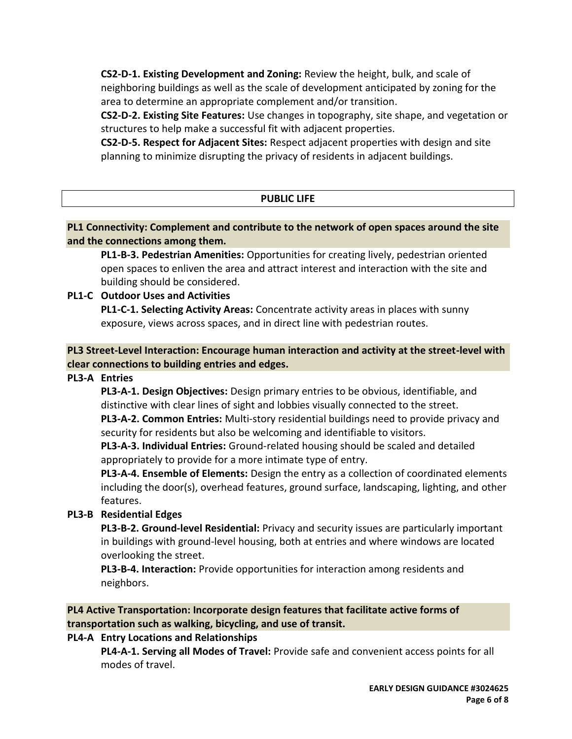**CS2-D-1. Existing Development and Zoning:** Review the height, bulk, and scale of neighboring buildings as well as the scale of development anticipated by zoning for the area to determine an appropriate complement and/or transition.

**CS2-D-2. Existing Site Features:** Use changes in topography, site shape, and vegetation or structures to help make a successful fit with adjacent properties.

**CS2-D-5. Respect for Adjacent Sites:** Respect adjacent properties with design and site planning to minimize disrupting the privacy of residents in adjacent buildings.

# **PUBLIC LIFE**

**PL1 Connectivity: Complement and contribute to the network of open spaces around the site and the connections among them.**

**PL1-B-3. Pedestrian Amenities:** Opportunities for creating lively, pedestrian oriented open spaces to enliven the area and attract interest and interaction with the site and building should be considered.

# **PL1-C Outdoor Uses and Activities**

**PL1-C-1. Selecting Activity Areas:** Concentrate activity areas in places with sunny exposure, views across spaces, and in direct line with pedestrian routes.

**PL3 Street-Level Interaction: Encourage human interaction and activity at the street-level with clear connections to building entries and edges.**

# **PL3-A Entries**

**PL3-A-1. Design Objectives:** Design primary entries to be obvious, identifiable, and distinctive with clear lines of sight and lobbies visually connected to the street.

**PL3-A-2. Common Entries:** Multi-story residential buildings need to provide privacy and security for residents but also be welcoming and identifiable to visitors.

**PL3-A-3. Individual Entries:** Ground-related housing should be scaled and detailed appropriately to provide for a more intimate type of entry.

**PL3-A-4. Ensemble of Elements:** Design the entry as a collection of coordinated elements including the door(s), overhead features, ground surface, landscaping, lighting, and other features.

# **PL3-B Residential Edges**

**PL3-B-2. Ground-level Residential:** Privacy and security issues are particularly important in buildings with ground-level housing, both at entries and where windows are located overlooking the street.

**PL3-B-4. Interaction:** Provide opportunities for interaction among residents and neighbors.

**PL4 Active Transportation: Incorporate design features that facilitate active forms of transportation such as walking, bicycling, and use of transit.**

# **PL4-A Entry Locations and Relationships**

**PL4-A-1. Serving all Modes of Travel:** Provide safe and convenient access points for all modes of travel.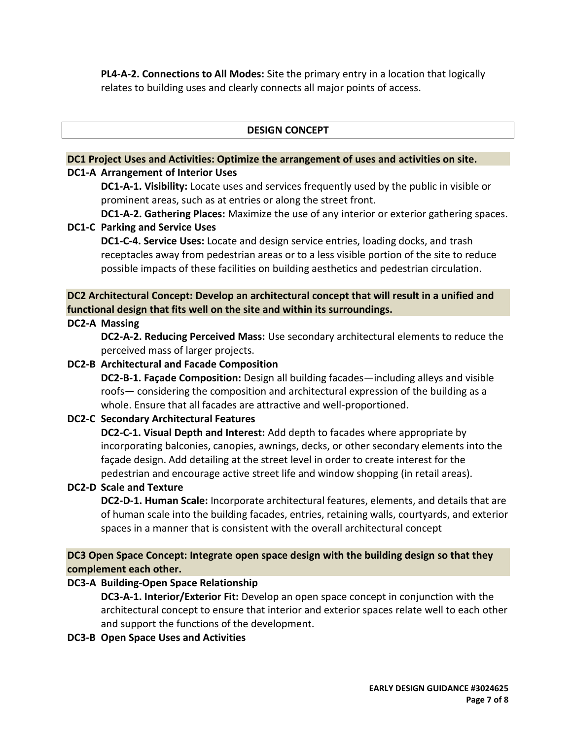**PL4-A-2. Connections to All Modes:** Site the primary entry in a location that logically relates to building uses and clearly connects all major points of access.

# **DESIGN CONCEPT**

# **DC1 Project Uses and Activities: Optimize the arrangement of uses and activities on site.**

#### **DC1-A Arrangement of Interior Uses**

**DC1-A-1. Visibility:** Locate uses and services frequently used by the public in visible or prominent areas, such as at entries or along the street front.

**DC1-A-2. Gathering Places:** Maximize the use of any interior or exterior gathering spaces. **DC1-C Parking and Service Uses**

**DC1-C-4. Service Uses:** Locate and design service entries, loading docks, and trash receptacles away from pedestrian areas or to a less visible portion of the site to reduce possible impacts of these facilities on building aesthetics and pedestrian circulation.

**DC2 Architectural Concept: Develop an architectural concept that will result in a unified and functional design that fits well on the site and within its surroundings.**

# **DC2-A Massing**

**DC2-A-2. Reducing Perceived Mass:** Use secondary architectural elements to reduce the perceived mass of larger projects.

# **DC2-B Architectural and Facade Composition**

**DC2-B-1. Façade Composition:** Design all building facades—including alleys and visible roofs— considering the composition and architectural expression of the building as a whole. Ensure that all facades are attractive and well-proportioned.

# **DC2-C Secondary Architectural Features**

**DC2-C-1. Visual Depth and Interest:** Add depth to facades where appropriate by incorporating balconies, canopies, awnings, decks, or other secondary elements into the façade design. Add detailing at the street level in order to create interest for the pedestrian and encourage active street life and window shopping (in retail areas).

#### **DC2-D Scale and Texture**

**DC2-D-1. Human Scale:** Incorporate architectural features, elements, and details that are of human scale into the building facades, entries, retaining walls, courtyards, and exterior spaces in a manner that is consistent with the overall architectural concept

**DC3 Open Space Concept: Integrate open space design with the building design so that they complement each other.**

# **DC3-A Building-Open Space Relationship**

**DC3-A-1. Interior/Exterior Fit:** Develop an open space concept in conjunction with the architectural concept to ensure that interior and exterior spaces relate well to each other and support the functions of the development.

**DC3-B Open Space Uses and Activities**